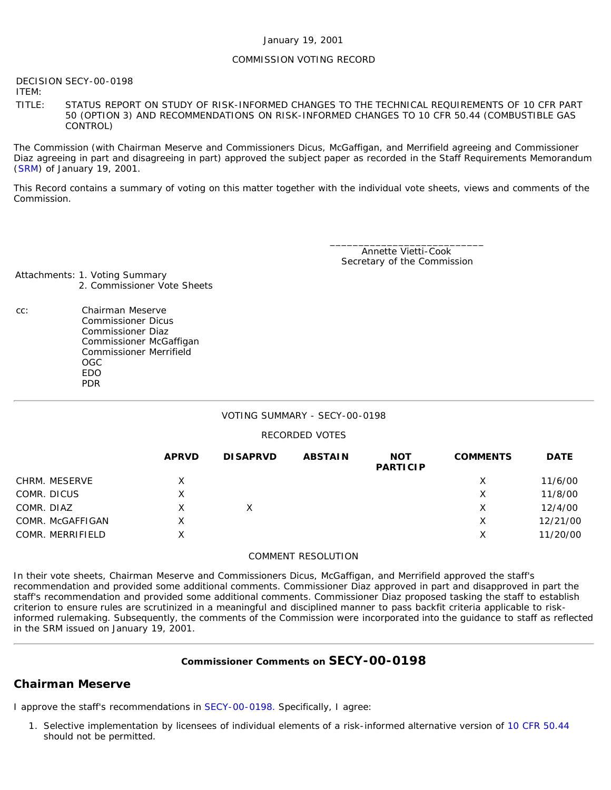#### January 19, 2001

#### COMMISSION VOTING RECORD

DECISION SECY-00-0198

ITEM:

TITLE: STATUS REPORT ON STUDY OF RISK-INFORMED CHANGES TO THE TECHNICAL REQUIREMENTS OF 10 CFR PART 50 (OPTION 3) AND RECOMMENDATIONS ON RISK-INFORMED CHANGES TO 10 CFR 50.44 (COMBUSTIBLE GAS CONTROL)

The Commission (with Chairman Meserve and Commissioners Dicus, McGaffigan, and Merrifield agreeing and Commissioner Diaz agreeing in part and disagreeing in part) approved the subject paper as recorded in the Staff Requirements Memorandum ([SRM](http://www.nrc.gov/reading-rm/doc-collections/commission/srm/2000/2000-0198srm.html)) of January 19, 2001.

This Record contains a summary of voting on this matter together with the individual vote sheets, views and comments of the Commission.

> \_\_\_\_\_\_\_\_\_\_\_\_\_\_\_\_\_\_\_\_\_\_\_\_\_\_\_ Annette Vietti-Cook Secretary of the Commission

Attachments: 1. Voting Summary 2. Commissioner Vote Sheets

- 
- cc: Chairman Meserve Commissioner Dicus Commissioner Diaz Commissioner McGaffigan Commissioner Merrifield OGC EDO PDR

#### VOTING SUMMARY - SECY-00-0198

### RECORDED VOTES

|                  | <b>APRVD</b> | <b>DISAPRVD</b> | <b>ABSTAIN</b> | <b>NOT</b><br><b>PARTICIP</b> | <b>COMMENTS</b> | <b>DATE</b> |
|------------------|--------------|-----------------|----------------|-------------------------------|-----------------|-------------|
| CHRM. MESERVE    | X            |                 |                |                               | X               | 11/6/00     |
| COMR. DICUS      | X            |                 |                |                               | Х               | 11/8/00     |
| COMR. DIAZ       | X            |                 |                |                               | Х               | 12/4/00     |
| COMR. McGAFFIGAN | X            |                 |                |                               | Х               | 12/21/00    |
| COMR. MERRIFIELD | X            |                 |                |                               | X               | 11/20/00    |

### COMMENT RESOLUTION

In their vote sheets, Chairman Meserve and Commissioners Dicus, McGaffigan, and Merrifield approved the staff's recommendation and provided some additional comments. Commissioner Diaz approved in part and disapproved in part the staff's recommendation and provided some additional comments. Commissioner Diaz proposed tasking the staff to establish criterion to ensure rules are scrutinized in a meaningful and disciplined manner to pass backfit criteria applicable to riskinformed rulemaking. Subsequently, the comments of the Commission were incorporated into the guidance to staff as reflected in the SRM issued on January 19, 2001.

### **Commissioner Comments on [SECY-00-0198](http://www.nrc.gov/reading-rm/doc-collections/commission/secys/2000/secy2000-0198/2000-0198scy.html)**

# **Chairman Meserve**

I approve the staff's recommendations in [SECY-00-0198.](http://www.nrc.gov/reading-rm/doc-collections/commission/secys/2000/secy2000-0198/2000-0198scy.html) Specifically, I agree:

1. Selective implementation by licensees of individual elements of a risk-informed alternative version of [10 CFR 50.44](http://www.nrc.gov/reading-rm/doc-collections/cfr/part050/part050-0044.html) should not be permitted.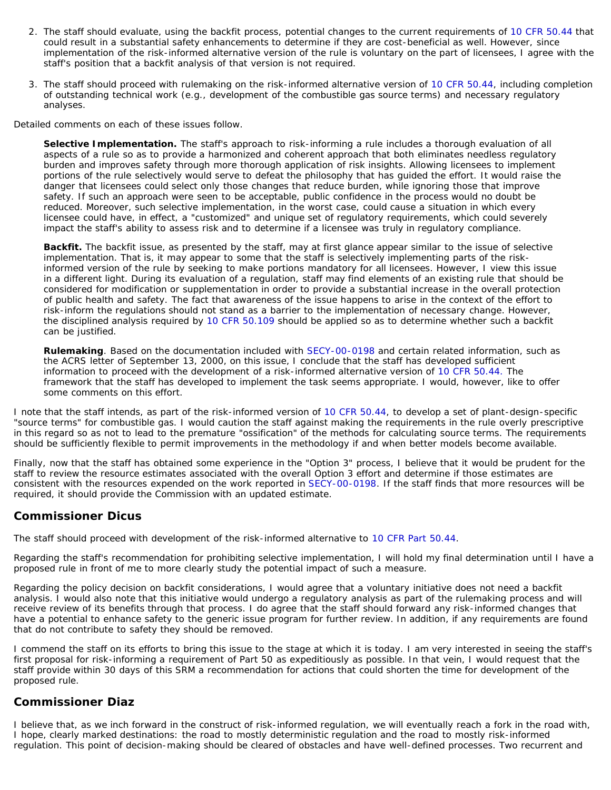- 2. The staff should evaluate, using the backfit process, potential changes to the current requirements of [10 CFR 50.44](http://www.nrc.gov/reading-rm/doc-collections/cfr/part050/part050-0044.html) that could result in a substantial safety enhancements to determine if they are cost-beneficial as well. However, since implementation of the risk-informed alternative version of the rule is voluntary on the part of licensees, I agree with the staff's position that a backfit analysis of that version is not required.
- 3. The staff should proceed with rulemaking on the risk-informed alternative version of [10 CFR 50.44](http://www.nrc.gov/reading-rm/doc-collections/cfr/part050/part050-0044.html), including completion of outstanding technical work (e.g., development of the combustible gas source terms) and necessary regulatory analyses.

Detailed comments on each of these issues follow.

**Selective Implementation.** The staff's approach to risk-informing a rule includes a thorough evaluation of all aspects of a rule so as to provide a harmonized and coherent approach that both eliminates needless regulatory burden and improves safety through more thorough application of risk insights. Allowing licensees to implement portions of the rule selectively would serve to defeat the philosophy that has guided the effort. It would raise the danger that licensees could select only those changes that reduce burden, while ignoring those that improve safety. If such an approach were seen to be acceptable, public confidence in the process would no doubt be reduced. Moreover, such selective implementation, in the worst case, could cause a situation in which every licensee could have, in effect, a "customized" and unique set of regulatory requirements, which could severely impact the staff's ability to assess risk and to determine if a licensee was truly in regulatory compliance.

*Backfit.* The backfit issue, as presented by the staff, may at first glance appear similar to the issue of selective implementation. That is, it may appear to some that the staff is selectively implementing parts of the riskinformed version of the rule by seeking to make portions mandatory for all licensees. However, I view this issue in a different light. During its evaluation of a regulation, staff may find elements of an existing rule that should be considered for modification or supplementation in order to provide a substantial increase in the overall protection of public health and safety. The fact that awareness of the issue happens to arise in the context of the effort to risk-inform the regulations should not stand as a barrier to the implementation of necessary change. However, the disciplined analysis required by [10 CFR 50.109](http://www.nrc.gov/reading-rm/doc-collections/cfr/part050/part050-0109.html) should be applied so as to determine whether such a backfit can be justified.

*Rulemaking*. Based on the documentation included with [SECY-00-0198](http://www.nrc.gov/reading-rm/doc-collections/commission/secys/2000/secy2000-0198/2000-0198scy.html) and certain related information, such as the ACRS letter of September 13, 2000, on this issue, I conclude that the staff has developed sufficient information to proceed with the development of a risk-informed alternative version of [10 CFR 50.44.](http://www.nrc.gov/reading-rm/doc-collections/cfr/part050/part050-0044.html) The framework that the staff has developed to implement the task seems appropriate. I would, however, like to offer some comments on this effort.

I note that the staff intends, as part of the risk-informed version of [10 CFR 50.44](http://www.nrc.gov/reading-rm/doc-collections/cfr/part050/part050-0044.html), to develop a set of plant-design-specific "source terms" for combustible gas. I would caution the staff against making the requirements in the rule overly prescriptive in this regard so as not to lead to the premature "ossification" of the methods for calculating source terms. The requirements should be sufficiently flexible to permit improvements in the methodology if and when better models become available.

Finally, now that the staff has obtained some experience in the "Option 3" process, I believe that it would be prudent for the staff to review the resource estimates associated with the overall Option 3 effort and determine if those estimates are consistent with the resources expended on the work reported in [SECY-00-0198](http://www.nrc.gov/reading-rm/doc-collections/commission/secys/2000/secy2000-0198/2000-0198scy.html). If the staff finds that more resources will be required, it should provide the Commission with an updated estimate.

# **Commissioner Dicus**

The staff should proceed with development of the risk-informed alternative to 10 CFR Part [50.44.](http://www.nrc.gov/reading-rm/doc-collections/cfr/part050/part050-0044.html)

Regarding the staff's recommendation for prohibiting selective implementation, I will hold my final determination until I have a proposed rule in front of me to more clearly study the potential impact of such a measure.

Regarding the policy decision on backfit considerations, I would agree that a voluntary initiative does not need a backfit analysis. I would also note that this initiative would undergo a regulatory analysis as part of the rulemaking process and will receive review of its benefits through that process. I do agree that the staff should forward any risk-informed changes that have a potential to enhance safety to the generic issue program for further review. In addition, if any requirements are found that do not contribute to safety they should be removed.

I commend the staff on its efforts to bring this issue to the stage at which it is today. I am very interested in seeing the staff's first proposal for risk-informing a requirement of Part 50 as expeditiously as possible. In that vein, I would request that the staff provide within 30 days of this SRM a recommendation for actions that could shorten the time for development of the proposed rule.

# **Commissioner Diaz**

I believe that, as we inch forward in the construct of risk-informed regulation, we will eventually reach a fork in the road with, I hope, clearly marked destinations: the road to mostly deterministic regulation and the road to mostly risk-informed regulation. This point of decision-making should be cleared of obstacles and have well-defined processes. Two recurrent and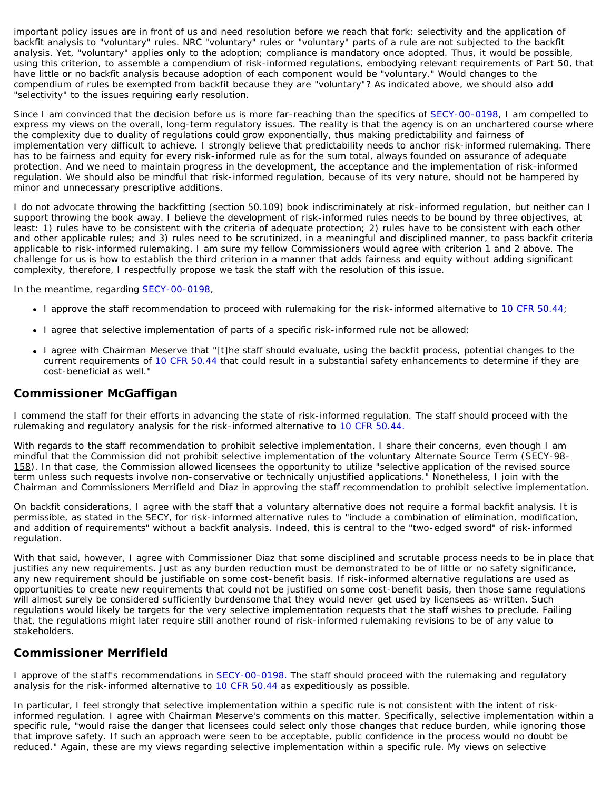important policy issues are in front of us and need resolution before we reach that fork: selectivity and the application of backfit analysis to "voluntary" rules. NRC "voluntary" rules or "voluntary" parts of a rule are not subjected to the backfit analysis. Yet, "voluntary" applies only to the adoption; compliance is mandatory once adopted. Thus, it would be possible, using this criterion, to assemble a compendium of risk-informed regulations, embodying relevant requirements of Part 50, that have little or no backfit analysis because adoption of each component would be "voluntary." Would changes to the compendium of rules be exempted from backfit because they are "voluntary"? As indicated above, we should also add "selectivity" to the issues requiring early resolution.

Since I am convinced that the decision before us is more far-reaching than the specifics of [SECY-00-0198,](http://www.nrc.gov/reading-rm/doc-collections/commission/secys/2000/secy2000-0198/2000-0198scy.html) I am compelled to express my views on the overall, long-term regulatory issues. The reality is that the agency is on an unchartered course where the complexity due to duality of regulations could grow exponentially, thus making predictability and fairness of implementation very difficult to achieve. I strongly believe that predictability needs to anchor risk-informed rulemaking. There has to be fairness and equity for every risk-informed rule as for the sum total, always founded on assurance of adequate protection. And we need to maintain progress in the development, the acceptance and the implementation of risk-informed regulation. We should also be mindful that risk-informed regulation, because of its very nature, should not be hampered by minor and unnecessary prescriptive additions.

I do not advocate throwing the backfitting (section 50.109) book indiscriminately at risk-informed regulation, but neither can I support throwing the book away. I believe the development of risk-informed rules needs to be bound by three objectives, at least: 1) rules have to be consistent with the criteria of adequate protection; 2) rules have to be consistent with each other and other applicable rules; and 3) rules need to be scrutinized, in a meaningful and disciplined manner, to pass backfit criteria applicable to risk-informed rulemaking. I am sure my fellow Commissioners would agree with criterion 1 and 2 above. The challenge for us is how to establish the third criterion in a manner that adds fairness and equity without adding significant complexity, therefore, I respectfully propose we task the staff with the resolution of this issue.

In the meantime, regarding [SECY-00-0198,](http://www.nrc.gov/reading-rm/doc-collections/commission/secys/2000/secy2000-0198/2000-0198scy.html)

- I approve the staff recommendation to proceed with rulemaking for the risk-informed alternative to [10 CFR 50.44](http://www.nrc.gov/reading-rm/doc-collections/cfr/part050/part050-0044.html);
- I agree that selective implementation of parts of a specific risk-informed rule not be allowed;
- I agree with Chairman Meserve that "[t]he staff should evaluate, using the backfit process, potential changes to the current requirements of [10 CFR 50.44](http://www.nrc.gov/reading-rm/doc-collections/cfr/part050/part050-0044.html) that could result in a substantial safety enhancements to determine if they are cost-beneficial as well."

### **Commissioner McGaffigan**

I commend the staff for their efforts in advancing the state of risk-informed regulation. The staff should proceed with the rulemaking and regulatory analysis for the risk-informed alternative to [10 CFR 50.44.](http://www.nrc.gov/reading-rm/doc-collections/cfr/part050/part050-0044.html)

With regards to the staff recommendation to prohibit selective implementation, I share their concerns, even though I am mindful that the Commission did not prohibit selective implementation of the voluntary Alternate Source Term (SECY-98-158). In that case, the Commission allowed licensees the opportunity to utilize "selective application of the revised source term unless such requests involve non-conservative or technically unjustified applications." Nonetheless, I join with the Chairman and Commissioners Merrifield and Diaz in approving the staff recommendation to prohibit selective implementation.

On backfit considerations, I agree with the staff that a voluntary alternative does not require a formal backfit analysis. It is permissible, as stated in the SECY, for risk-informed alternative rules to "include a combination of elimination, modification, and addition of requirements" without a backfit analysis. Indeed, this is central to the "two-edged sword" of risk-informed regulation.

With that said, however, I agree with Commissioner Diaz that some disciplined and scrutable process needs to be in place that justifies any new requirements. Just as any burden reduction must be demonstrated to be of little or no safety significance, any new requirement should be justifiable on some cost-benefit basis. If risk-informed alternative regulations are used as opportunities to create new requirements that could not be justified on some cost-benefit basis, then those same regulations will almost surely be considered sufficiently burdensome that they would never get used by licensees as-written. Such regulations would likely be targets for the very selective implementation requests that the staff wishes to preclude. Failing that, the regulations might later require still another round of risk-informed rulemaking revisions to be of any value to stakeholders.

# **Commissioner Merrifield**

I approve of the staff's recommendations in [SECY-00-0198.](http://www.nrc.gov/reading-rm/doc-collections/commission/secys/2000/secy2000-0198/2000-0198scy.html) The staff should proceed with the rulemaking and regulatory analysis for the risk-informed alternative to [10 CFR 50.44](http://www.nrc.gov/reading-rm/doc-collections/cfr/part050/part050-0044.html) as expeditiously as possible.

In particular, I feel strongly that selective implementation within a specific rule is not consistent with the intent of riskinformed regulation. I agree with Chairman Meserve's comments on this matter. Specifically, selective implementation within a specific rule, "would raise the danger that licensees could select only those changes that reduce burden, while ignoring those that improve safety. If such an approach were seen to be acceptable, public confidence in the process would no doubt be reduced." Again, these are my views regarding selective implementation within a specific rule. My views on selective